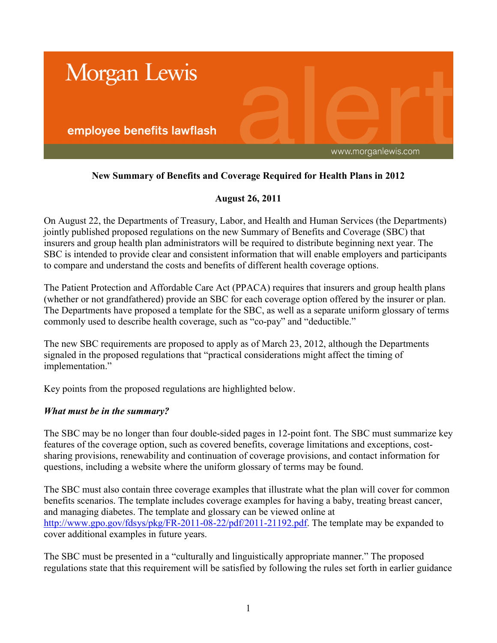

# **New Summary of Benefits and Coverage Required for Health Plans in 2012**

## **August 26, 2011**

On August 22, the Departments of Treasury, Labor, and Health and Human Services (the Departments) jointly published proposed regulations on the new Summary of Benefits and Coverage (SBC) that insurers and group health plan administrators will be required to distribute beginning next year. The SBC is intended to provide clear and consistent information that will enable employers and participants to compare and understand the costs and benefits of different health coverage options.

The Patient Protection and Affordable Care Act (PPACA) requires that insurers and group health plans (whether or not grandfathered) provide an SBC for each coverage option offered by the insurer or plan. The Departments have proposed a template for the SBC, as well as a separate uniform glossary of terms commonly used to describe health coverage, such as "co-pay" and "deductible."

The new SBC requirements are proposed to apply as of March 23, 2012, although the Departments signaled in the proposed regulations that "practical considerations might affect the timing of implementation."

Key points from the proposed regulations are highlighted below.

### *What must be in the summary?*

The SBC may be no longer than four double-sided pages in 12-point font. The SBC must summarize key features of the coverage option, such as covered benefits, coverage limitations and exceptions, costsharing provisions, renewability and continuation of coverage provisions, and contact information for questions, including a website where the uniform glossary of terms may be found.

The SBC must also contain three coverage examples that illustrate what the plan will cover for common benefits scenarios. The template includes coverage examples for having a baby, treating breast cancer, and managing diabetes. The template and glossary can be viewed online at [http://www.gpo.gov/fdsys/pkg/FR-2011-08-22/pdf/2011-21192.pdf.](http://www.gpo.gov/fdsys/pkg/FR-2011-08-22/pdf/2011-21192.pdf) The template may be expanded to cover additional examples in future years.

The SBC must be presented in a "culturally and linguistically appropriate manner." The proposed regulations state that this requirement will be satisfied by following the rules set forth in earlier guidance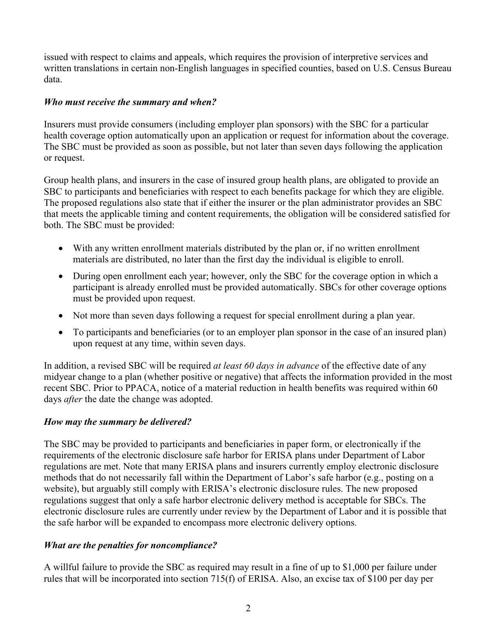issued with respect to claims and appeals, which requires the provision of interpretive services and written translations in certain non-English languages in specified counties, based on U.S. Census Bureau data.

## *Who must receive the summary and when?*

Insurers must provide consumers (including employer plan sponsors) with the SBC for a particular health coverage option automatically upon an application or request for information about the coverage. The SBC must be provided as soon as possible, but not later than seven days following the application or request.

Group health plans, and insurers in the case of insured group health plans, are obligated to provide an SBC to participants and beneficiaries with respect to each benefits package for which they are eligible. The proposed regulations also state that if either the insurer or the plan administrator provides an SBC that meets the applicable timing and content requirements, the obligation will be considered satisfied for both. The SBC must be provided:

- With any written enrollment materials distributed by the plan or, if no written enrollment materials are distributed, no later than the first day the individual is eligible to enroll.
- During open enrollment each year; however, only the SBC for the coverage option in which a participant is already enrolled must be provided automatically. SBCs for other coverage options must be provided upon request.
- Not more than seven days following a request for special enrollment during a plan year.
- To participants and beneficiaries (or to an employer plan sponsor in the case of an insured plan) upon request at any time, within seven days.

In addition, a revised SBC will be required *at least 60 days in advance* of the effective date of any midyear change to a plan (whether positive or negative) that affects the information provided in the most recent SBC. Prior to PPACA, notice of a material reduction in health benefits was required within 60 days *after* the date the change was adopted.

### *How may the summary be delivered?*

The SBC may be provided to participants and beneficiaries in paper form, or electronically if the requirements of the electronic disclosure safe harbor for ERISA plans under Department of Labor regulations are met. Note that many ERISA plans and insurers currently employ electronic disclosure methods that do not necessarily fall within the Department of Labor's safe harbor (e.g., posting on a website), but arguably still comply with ERISA's electronic disclosure rules. The new proposed regulations suggest that only a safe harbor electronic delivery method is acceptable for SBCs. The electronic disclosure rules are currently under review by the Department of Labor and it is possible that the safe harbor will be expanded to encompass more electronic delivery options.

### *What are the penalties for noncompliance?*

A willful failure to provide the SBC as required may result in a fine of up to \$1,000 per failure under rules that will be incorporated into section 715(f) of ERISA. Also, an excise tax of \$100 per day per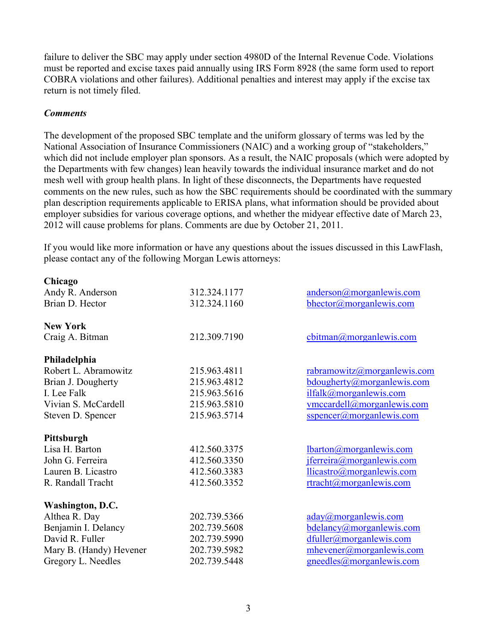failure to deliver the SBC may apply under section 4980D of the Internal Revenue Code. Violations must be reported and excise taxes paid annually using IRS Form 8928 (the same form used to report COBRA violations and other failures). Additional penalties and interest may apply if the excise tax return is not timely filed.

#### *Comments*

The development of the proposed SBC template and the uniform glossary of terms was led by the National Association of Insurance Commissioners (NAIC) and a working group of "stakeholders," which did not include employer plan sponsors. As a result, the NAIC proposals (which were adopted by the Departments with few changes) lean heavily towards the individual insurance market and do not mesh well with group health plans. In light of these disconnects, the Departments have requested comments on the new rules, such as how the SBC requirements should be coordinated with the summary plan description requirements applicable to ERISA plans, what information should be provided about employer subsidies for various coverage options, and whether the midyear effective date of March 23, 2012 will cause problems for plans. Comments are due by October 21, 2011.

If you would like more information or have any questions about the issues discussed in this LawFlash, please contact any of the following Morgan Lewis attorneys:

| Chicago                 |              |                                                                                   |
|-------------------------|--------------|-----------------------------------------------------------------------------------|
| Andy R. Anderson        | 312.324.1177 | anderson@morganlewis.com                                                          |
| Brian D. Hector         | 312.324.1160 | bhector@morganlewis.com                                                           |
| <b>New York</b>         |              |                                                                                   |
| Craig A. Bitman         | 212.309.7190 | $\frac{\text{cbitman}(a) \text{morganlewis.com}}{a \cdot \text{morganlewis.com}}$ |
| Philadelphia            |              |                                                                                   |
| Robert L. Abramowitz    | 215.963.4811 | rabramowitz@morganlewis.com                                                       |
| Brian J. Dougherty      | 215.963.4812 | bdougherty@morganlewis.com                                                        |
| I. Lee Falk             | 215.963.5616 | ilfalk@morganlewis.com                                                            |
| Vivian S. McCardell     | 215.963.5810 | vmccardell@morganlewis.com                                                        |
| Steven D. Spencer       | 215.963.5714 | sspencer@morganlewis.com                                                          |
| Pittsburgh              |              |                                                                                   |
| Lisa H. Barton          | 412.560.3375 | lbarton@morganlewis.com                                                           |
| John G. Ferreira        | 412.560.3350 | jferreira@morganlewis.com                                                         |
| Lauren B. Licastro      | 412.560.3383 | llicastro@morganlewis.com                                                         |
| R. Randall Tracht       | 412.560.3352 | rtracht@morganlewis.com                                                           |
| Washington, D.C.        |              |                                                                                   |
| Althea R. Day           | 202.739.5366 | $\frac{aday(a) \text{morganlewis.com}}{a}$                                        |
| Benjamin I. Delancy     | 202.739.5608 | bdelancy@morganlewis.com                                                          |
| David R. Fuller         | 202.739.5990 | dfuller@morganlewis.com                                                           |
| Mary B. (Handy) Hevener | 202.739.5982 | mhevener@morganlewis.com                                                          |
| Gregory L. Needles      | 202.739.5448 | gneedles@morganlewis.com                                                          |
|                         |              |                                                                                   |